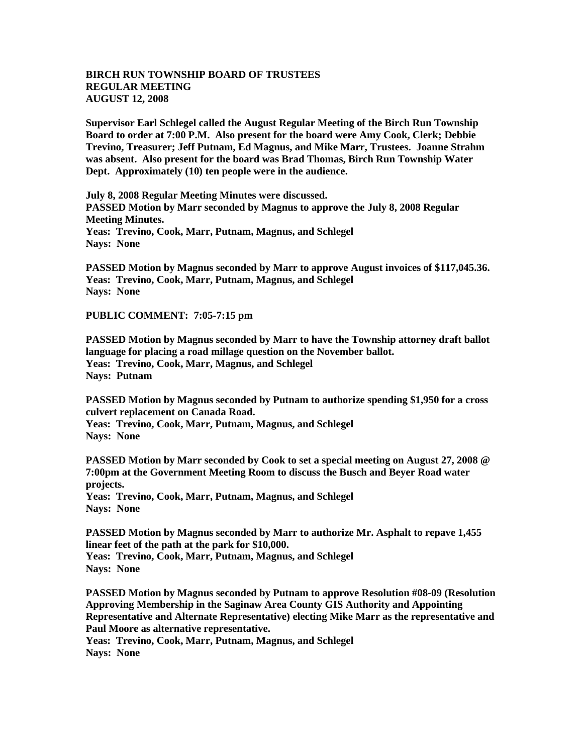## **BIRCH RUN TOWNSHIP BOARD OF TRUSTEES REGULAR MEETING AUGUST 12, 2008**

**Supervisor Earl Schlegel called the August Regular Meeting of the Birch Run Township Board to order at 7:00 P.M. Also present for the board were Amy Cook, Clerk; Debbie Trevino, Treasurer; Jeff Putnam, Ed Magnus, and Mike Marr, Trustees. Joanne Strahm was absent. Also present for the board was Brad Thomas, Birch Run Township Water Dept. Approximately (10) ten people were in the audience.** 

**July 8, 2008 Regular Meeting Minutes were discussed. PASSED Motion by Marr seconded by Magnus to approve the July 8, 2008 Regular Meeting Minutes. Yeas: Trevino, Cook, Marr, Putnam, Magnus, and Schlegel Nays: None** 

**PASSED Motion by Magnus seconded by Marr to approve August invoices of \$117,045.36. Yeas: Trevino, Cook, Marr, Putnam, Magnus, and Schlegel Nays: None** 

**PUBLIC COMMENT: 7:05-7:15 pm**

**PASSED Motion by Magnus seconded by Marr to have the Township attorney draft ballot language for placing a road millage question on the November ballot. Yeas: Trevino, Cook, Marr, Magnus, and Schlegel Nays: Putnam**

**PASSED Motion by Magnus seconded by Putnam to authorize spending \$1,950 for a cross culvert replacement on Canada Road.**

**Yeas: Trevino, Cook, Marr, Putnam, Magnus, and Schlegel Nays: None** 

**PASSED Motion by Marr seconded by Cook to set a special meeting on August 27, 2008 @ 7:00pm at the Government Meeting Room to discuss the Busch and Beyer Road water projects. Yeas: Trevino, Cook, Marr, Putnam, Magnus, and Schlegel**

**Nays: None** 

**PASSED Motion by Magnus seconded by Marr to authorize Mr. Asphalt to repave 1,455 linear feet of the path at the park for \$10,000. Yeas: Trevino, Cook, Marr, Putnam, Magnus, and Schlegel Nays: None** 

**PASSED Motion by Magnus seconded by Putnam to approve Resolution #08-09 (Resolution Approving Membership in the Saginaw Area County GIS Authority and Appointing Representative and Alternate Representative) electing Mike Marr as the representative and Paul Moore as alternative representative. Yeas: Trevino, Cook, Marr, Putnam, Magnus, and Schlegel Nays: None**